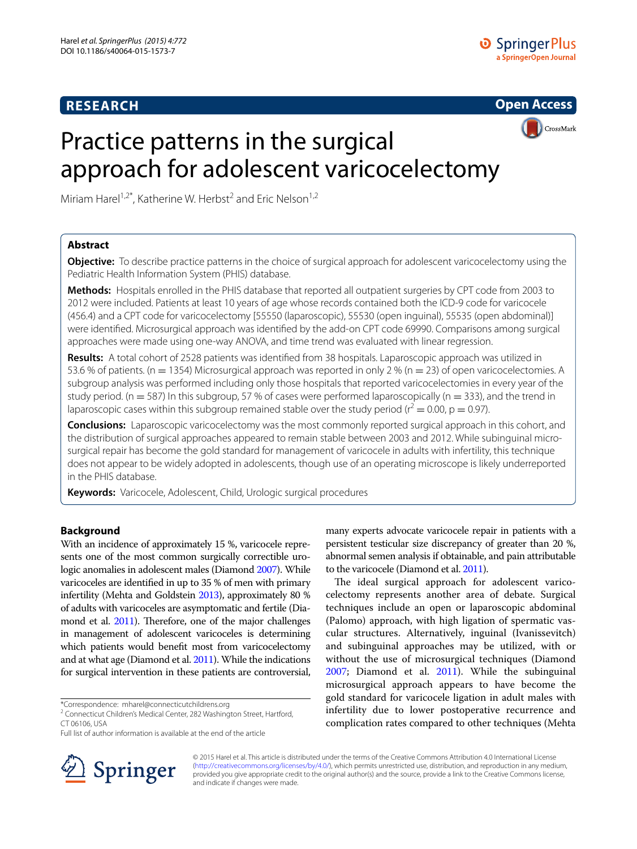# **RESEARCH**



CrossMark

# Practice patterns in the surgical approach for adolescent varicocelectomy

Miriam Harel<sup>1,2\*</sup>, Katherine W. Herbst<sup>2</sup> and Eric Nelson<sup>1,2</sup>

## **Abstract**

**Objective:** To describe practice patterns in the choice of surgical approach for adolescent varicocelectomy using the Pediatric Health Information System (PHIS) database.

**Methods:** Hospitals enrolled in the PHIS database that reported all outpatient surgeries by CPT code from 2003 to 2012 were included. Patients at least 10 years of age whose records contained both the ICD-9 code for varicocele (456.4) and a CPT code for varicocelectomy [55550 (laparoscopic), 55530 (open inguinal), 55535 (open abdominal)] were identified. Microsurgical approach was identified by the add-on CPT code 69990. Comparisons among surgical approaches were made using one-way ANOVA, and time trend was evaluated with linear regression.

**Results:** A total cohort of 2528 patients was identified from 38 hospitals. Laparoscopic approach was utilized in 53.6 % of patients. ( $n = 1354$ ) Microsurgical approach was reported in only 2 % ( $n = 23$ ) of open varicocelectomies. A subgroup analysis was performed including only those hospitals that reported varicocelectomies in every year of the study period. ( $n = 587$ ) In this subgroup, 57 % of cases were performed laparoscopically ( $n = 333$ ), and the trend in laparoscopic cases within this subgroup remained stable over the study period ( $r^2 = 0.00$ , p = 0.97).

**Conclusions:** Laparoscopic varicocelectomy was the most commonly reported surgical approach in this cohort, and the distribution of surgical approaches appeared to remain stable between 2003 and 2012. While subinguinal microsurgical repair has become the gold standard for management of varicocele in adults with infertility, this technique does not appear to be widely adopted in adolescents, though use of an operating microscope is likely underreported in the PHIS database.

**Keywords:** Varicocele, Adolescent, Child, Urologic surgical procedures

## **Background**

With an incidence of approximately 15 %, varicocele represents one of the most common surgically correctible urologic anomalies in adolescent males (Diamond [2007](#page-4-0)). While varicoceles are identified in up to 35 % of men with primary infertility (Mehta and Goldstein [2013\)](#page-5-0), approximately 80 % of adults with varicoceles are asymptomatic and fertile (Dia-mond et al. [2011\)](#page-5-1). Therefore, one of the major challenges in management of adolescent varicoceles is determining which patients would benefit most from varicocelectomy and at what age (Diamond et al. [2011\)](#page-5-1). While the indications for surgical intervention in these patients are controversial,

\*Correspondence: mharel@connecticutchildrens.org

Full list of author information is available at the end of the article



many experts advocate varicocele repair in patients with a persistent testicular size discrepancy of greater than 20 %, abnormal semen analysis if obtainable, and pain attributable to the varicocele (Diamond et al. [2011\)](#page-5-1).

The ideal surgical approach for adolescent varicocelectomy represents another area of debate. Surgical techniques include an open or laparoscopic abdominal (Palomo) approach, with high ligation of spermatic vascular structures. Alternatively, inguinal (Ivanissevitch) and subinguinal approaches may be utilized, with or without the use of microsurgical techniques (Diamond [2007](#page-4-0); Diamond et al. [2011\)](#page-5-1). While the subinguinal microsurgical approach appears to have become the gold standard for varicocele ligation in adult males with infertility due to lower postoperative recurrence and complication rates compared to other techniques (Mehta

© 2015 Harel et al. This article is distributed under the terms of the Creative Commons Attribution 4.0 International License [\(http://creativecommons.org/licenses/by/4.0/\)](http://creativecommons.org/licenses/by/4.0/), which permits unrestricted use, distribution, and reproduction in any medium, provided you give appropriate credit to the original author(s) and the source, provide a link to the Creative Commons license, and indicate if changes were made.

<sup>&</sup>lt;sup>2</sup> Connecticut Children's Medical Center, 282 Washington Street, Hartford, CT 06106, USA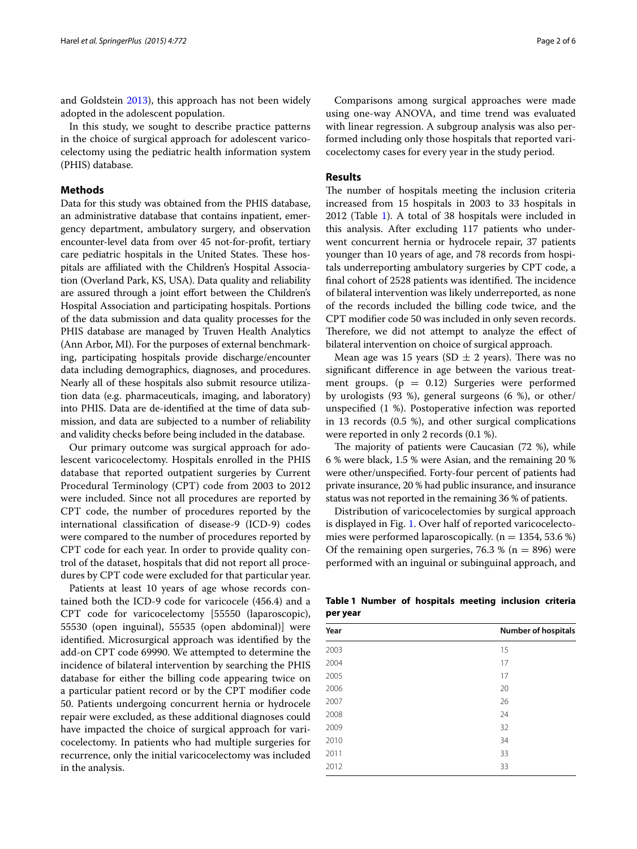and Goldstein [2013](#page-5-0)), this approach has not been widely adopted in the adolescent population.

In this study, we sought to describe practice patterns in the choice of surgical approach for adolescent varicocelectomy using the pediatric health information system (PHIS) database.

### **Methods**

Data for this study was obtained from the PHIS database, an administrative database that contains inpatient, emergency department, ambulatory surgery, and observation encounter-level data from over 45 not-for-profit, tertiary care pediatric hospitals in the United States. These hospitals are affiliated with the Children's Hospital Association (Overland Park, KS, USA). Data quality and reliability are assured through a joint effort between the Children's Hospital Association and participating hospitals. Portions of the data submission and data quality processes for the PHIS database are managed by Truven Health Analytics (Ann Arbor, MI). For the purposes of external benchmarking, participating hospitals provide discharge/encounter data including demographics, diagnoses, and procedures. Nearly all of these hospitals also submit resource utilization data (e.g. pharmaceuticals, imaging, and laboratory) into PHIS. Data are de-identified at the time of data submission, and data are subjected to a number of reliability and validity checks before being included in the database.

Our primary outcome was surgical approach for adolescent varicocelectomy. Hospitals enrolled in the PHIS database that reported outpatient surgeries by Current Procedural Terminology (CPT) code from 2003 to 2012 were included. Since not all procedures are reported by CPT code, the number of procedures reported by the international classification of disease-9 (ICD-9) codes were compared to the number of procedures reported by CPT code for each year. In order to provide quality control of the dataset, hospitals that did not report all procedures by CPT code were excluded for that particular year.

Patients at least 10 years of age whose records contained both the ICD-9 code for varicocele (456.4) and a CPT code for varicocelectomy [55550 (laparoscopic), 55530 (open inguinal), 55535 (open abdominal)] were identified. Microsurgical approach was identified by the add-on CPT code 69990. We attempted to determine the incidence of bilateral intervention by searching the PHIS database for either the billing code appearing twice on a particular patient record or by the CPT modifier code 50. Patients undergoing concurrent hernia or hydrocele repair were excluded, as these additional diagnoses could have impacted the choice of surgical approach for varicocelectomy. In patients who had multiple surgeries for recurrence, only the initial varicocelectomy was included in the analysis.

Comparisons among surgical approaches were made using one-way ANOVA, and time trend was evaluated with linear regression. A subgroup analysis was also performed including only those hospitals that reported varicocelectomy cases for every year in the study period.

#### **Results**

The number of hospitals meeting the inclusion criteria increased from 15 hospitals in 2003 to 33 hospitals in 2012 (Table [1\)](#page-1-0). A total of 38 hospitals were included in this analysis. After excluding 117 patients who underwent concurrent hernia or hydrocele repair, 37 patients younger than 10 years of age, and 78 records from hospitals underreporting ambulatory surgeries by CPT code, a final cohort of 2528 patients was identified. The incidence of bilateral intervention was likely underreported, as none of the records included the billing code twice, and the CPT modifier code 50 was included in only seven records. Therefore, we did not attempt to analyze the effect of bilateral intervention on choice of surgical approach.

Mean age was 15 years (SD  $\pm$  2 years). There was no significant difference in age between the various treatment groups.  $(p = 0.12)$  Surgeries were performed by urologists (93 %), general surgeons (6 %), or other/ unspecified (1 %). Postoperative infection was reported in 13 records (0.5 %), and other surgical complications were reported in only 2 records (0.1 %).

The majority of patients were Caucasian (72 %), while 6 % were black, 1.5 % were Asian, and the remaining 20 % were other/unspecified. Forty-four percent of patients had private insurance, 20 % had public insurance, and insurance status was not reported in the remaining 36 % of patients.

Distribution of varicocelectomies by surgical approach is displayed in Fig. [1.](#page-2-0) Over half of reported varicocelectomies were performed laparoscopically.  $(n = 1354, 53.6\%)$ Of the remaining open surgeries, 76.3 % ( $n = 896$ ) were performed with an inguinal or subinguinal approach, and

<span id="page-1-0"></span>**Table 1 Number of hospitals meeting inclusion criteria per year**

| Year | <b>Number of hospitals</b> |  |  |
|------|----------------------------|--|--|
| 2003 | 15                         |  |  |
| 2004 | 17                         |  |  |
| 2005 | 17                         |  |  |
| 2006 | 20                         |  |  |
| 2007 | 26                         |  |  |
| 2008 | 24                         |  |  |
| 2009 | 32                         |  |  |
| 2010 | 34                         |  |  |
| 2011 | 33                         |  |  |
| 2012 | 33                         |  |  |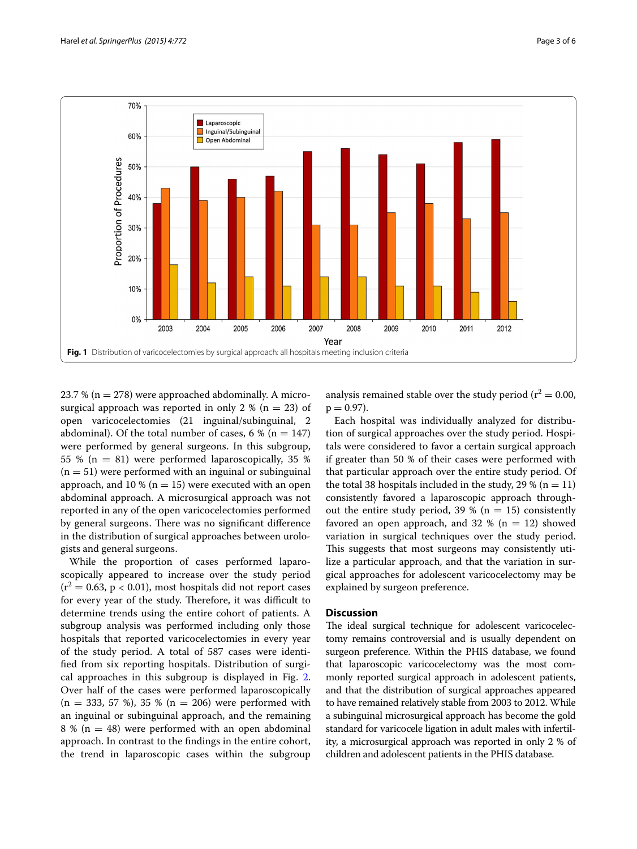



<span id="page-2-0"></span>23.7 % ( $n = 278$ ) were approached abdominally. A microsurgical approach was reported in only 2 % ( $n = 23$ ) of open varicocelectomies (21 inguinal/subinguinal, 2 abdominal). Of the total number of cases, 6 % ( $n = 147$ ) were performed by general surgeons. In this subgroup, 55 % ( $n = 81$ ) were performed laparoscopically, 35 %  $(n = 51)$  were performed with an inguinal or subinguinal approach, and 10 % ( $n = 15$ ) were executed with an open abdominal approach. A microsurgical approach was not reported in any of the open varicocelectomies performed by general surgeons. There was no significant difference in the distribution of surgical approaches between urologists and general surgeons.

While the proportion of cases performed laparoscopically appeared to increase over the study period  $(r^2 = 0.63, p < 0.01)$ , most hospitals did not report cases for every year of the study. Therefore, it was difficult to determine trends using the entire cohort of patients. A subgroup analysis was performed including only those hospitals that reported varicocelectomies in every year of the study period. A total of 587 cases were identified from six reporting hospitals. Distribution of surgical approaches in this subgroup is displayed in Fig. [2](#page-3-0). Over half of the cases were performed laparoscopically  $(n = 333, 57 \%)$ , 35 %  $(n = 206)$  were performed with an inguinal or subinguinal approach, and the remaining  $8\%$  (n = 48) were performed with an open abdominal approach. In contrast to the findings in the entire cohort, the trend in laparoscopic cases within the subgroup

analysis remained stable over the study period ( $r^2 = 0.00$ ,  $p = 0.97$ ).

Each hospital was individually analyzed for distribution of surgical approaches over the study period. Hospitals were considered to favor a certain surgical approach if greater than 50 % of their cases were performed with that particular approach over the entire study period. Of the total 38 hospitals included in the study, 29 % ( $n = 11$ ) consistently favored a laparoscopic approach throughout the entire study period, 39 % ( $n = 15$ ) consistently favored an open approach, and 32 % ( $n = 12$ ) showed variation in surgical techniques over the study period. This suggests that most surgeons may consistently utilize a particular approach, and that the variation in surgical approaches for adolescent varicocelectomy may be explained by surgeon preference.

## **Discussion**

The ideal surgical technique for adolescent varicocelectomy remains controversial and is usually dependent on surgeon preference. Within the PHIS database, we found that laparoscopic varicocelectomy was the most commonly reported surgical approach in adolescent patients, and that the distribution of surgical approaches appeared to have remained relatively stable from 2003 to 2012. While a subinguinal microsurgical approach has become the gold standard for varicocele ligation in adult males with infertility, a microsurgical approach was reported in only 2 % of children and adolescent patients in the PHIS database.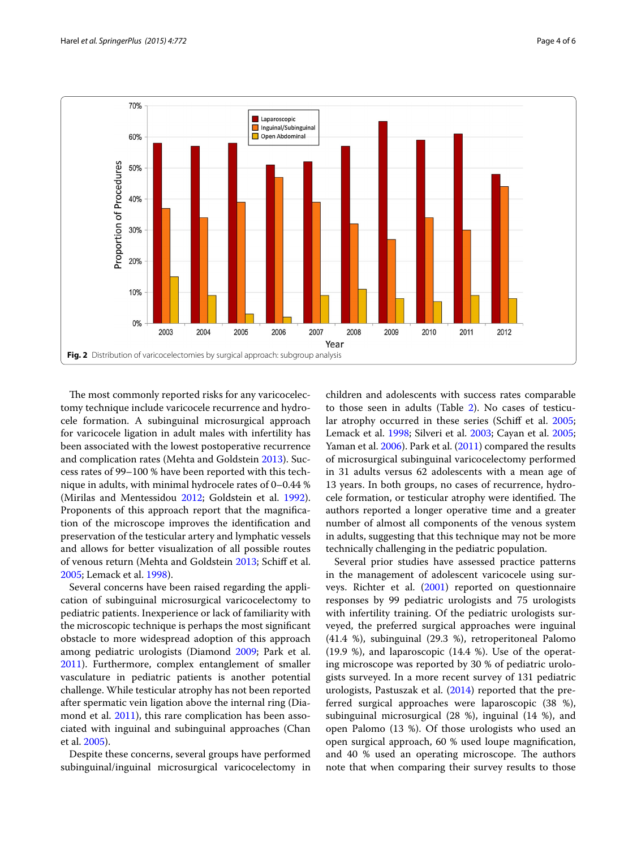

<span id="page-3-0"></span>The most commonly reported risks for any varicocelectomy technique include varicocele recurrence and hydrocele formation. A subinguinal microsurgical approach for varicocele ligation in adult males with infertility has been associated with the lowest postoperative recurrence and complication rates (Mehta and Goldstein [2013](#page-5-0)). Success rates of 99–100 % have been reported with this technique in adults, with minimal hydrocele rates of 0–0.44 % (Mirilas and Mentessidou [2012](#page-5-2); Goldstein et al. [1992](#page-5-3)). Proponents of this approach report that the magnification of the microscope improves the identification and preservation of the testicular artery and lymphatic vessels and allows for better visualization of all possible routes of venous return (Mehta and Goldstein [2013](#page-5-0); Schiff et al. [2005](#page-5-4); Lemack et al. [1998\)](#page-5-5).

Several concerns have been raised regarding the application of subinguinal microsurgical varicocelectomy to pediatric patients. Inexperience or lack of familiarity with the microscopic technique is perhaps the most significant obstacle to more widespread adoption of this approach among pediatric urologists (Diamond [2009;](#page-5-6) Park et al. [2011](#page-5-7)). Furthermore, complex entanglement of smaller vasculature in pediatric patients is another potential challenge. While testicular atrophy has not been reported after spermatic vein ligation above the internal ring (Diamond et al. [2011\)](#page-5-1), this rare complication has been associated with inguinal and subinguinal approaches (Chan et al. [2005\)](#page-4-1).

Despite these concerns, several groups have performed subinguinal/inguinal microsurgical varicocelectomy in

children and adolescents with success rates comparable to those seen in adults (Table [2\)](#page-4-2). No cases of testicular atrophy occurred in these series (Schiff et al. [2005](#page-5-4); Lemack et al. [1998;](#page-5-5) Silveri et al. [2003](#page-5-8); Cayan et al. [2005](#page-4-3); Yaman et al. [2006\)](#page-5-9). Park et al. [\(2011\)](#page-5-7) compared the results of microsurgical subinguinal varicocelectomy performed in 31 adults versus 62 adolescents with a mean age of 13 years. In both groups, no cases of recurrence, hydrocele formation, or testicular atrophy were identified. The authors reported a longer operative time and a greater number of almost all components of the venous system in adults, suggesting that this technique may not be more technically challenging in the pediatric population.

Several prior studies have assessed practice patterns in the management of adolescent varicocele using surveys. Richter et al. ([2001\)](#page-5-10) reported on questionnaire responses by 99 pediatric urologists and 75 urologists with infertility training. Of the pediatric urologists surveyed, the preferred surgical approaches were inguinal (41.4 %), subinguinal (29.3 %), retroperitoneal Palomo (19.9 %), and laparoscopic (14.4 %). Use of the operating microscope was reported by 30 % of pediatric urologists surveyed. In a more recent survey of 131 pediatric urologists, Pastuszak et al. ([2014\)](#page-5-11) reported that the preferred surgical approaches were laparoscopic (38 %), subinguinal microsurgical (28 %), inguinal (14 %), and open Palomo (13 %). Of those urologists who used an open surgical approach, 60 % used loupe magnification, and 40 % used an operating microscope. The authors note that when comparing their survey results to those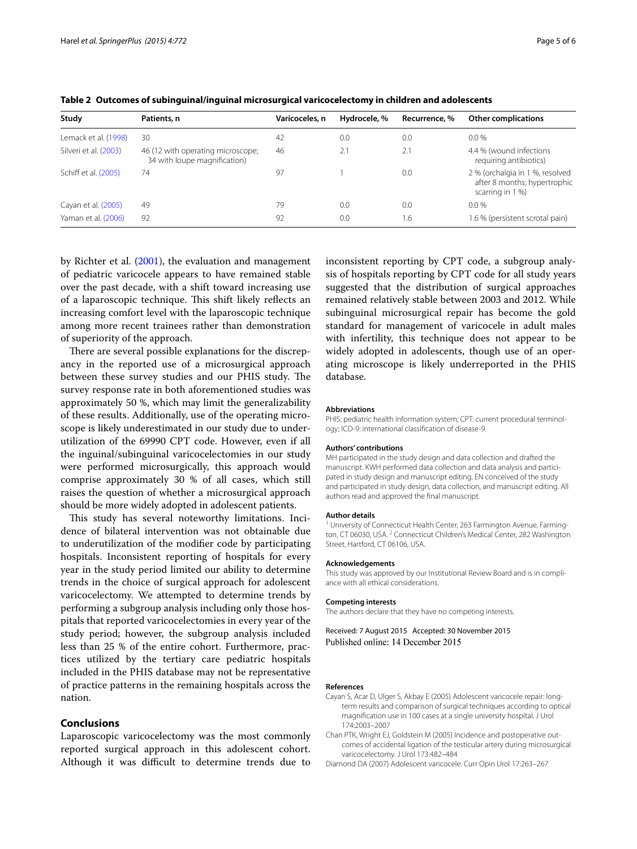| Study                 | Patients, n                                                       | Varicoceles, n | Hydrocele, % | Recurrence, % | <b>Other complications</b>                                                          |
|-----------------------|-------------------------------------------------------------------|----------------|--------------|---------------|-------------------------------------------------------------------------------------|
| Lemack et al. (1998)  | 30                                                                | 42             | 0.0          | 0.0           | $0.0\%$                                                                             |
| Silveri et al. (2003) | 46 (12 with operating microscope;<br>34 with loupe magnification) | 46             |              | 2.1           | 4.4 % (wound infections<br>requiring antibiotics)                                   |
| Schiff et al. (2005)  | 74                                                                | 97             |              | 0.0           | 2 % (orchalgia in 1 %, resolved<br>after 8 months; hypertrophic<br>scarring in 1 %) |
| Cayan et al. (2005)   | 49                                                                | 79             | 0.0          | 0.0           | $0.0\%$                                                                             |
| Yaman et al. (2006)   | 92                                                                | 92             | 0.0          | 1.6           | 1.6 % (persistent scrotal pain)                                                     |

<span id="page-4-2"></span>**Table 2 Outcomes of subinguinal/inguinal microsurgical varicocelectomy in children and adolescents**

by Richter et al. [\(2001\)](#page-5-10), the evaluation and management of pediatric varicocele appears to have remained stable over the past decade, with a shift toward increasing use of a laparoscopic technique. This shift likely reflects an increasing comfort level with the laparoscopic technique among more recent trainees rather than demonstration of superiority of the approach.

There are several possible explanations for the discrepancy in the reported use of a microsurgical approach between these survey studies and our PHIS study. The survey response rate in both aforementioned studies was approximately 50 %, which may limit the generalizability of these results. Additionally, use of the operating microscope is likely underestimated in our study due to underutilization of the 69990 CPT code. However, even if all the inguinal/subinguinal varicocelectomies in our study were performed microsurgically, this approach would comprise approximately 30 % of all cases, which still raises the question of whether a microsurgical approach should be more widely adopted in adolescent patients.

This study has several noteworthy limitations. Incidence of bilateral intervention was not obtainable due to underutilization of the modifier code by participating hospitals. Inconsistent reporting of hospitals for every year in the study period limited our ability to determine trends in the choice of surgical approach for adolescent varicocelectomy. We attempted to determine trends by performing a subgroup analysis including only those hospitals that reported varicocelectomies in every year of the study period; however, the subgroup analysis included less than 25 % of the entire cohort. Furthermore, practices utilized by the tertiary care pediatric hospitals included in the PHIS database may not be representative of practice patterns in the remaining hospitals across the nation.

## **Conclusions**

Laparoscopic varicocelectomy was the most commonly reported surgical approach in this adolescent cohort. Although it was difficult to determine trends due to

inconsistent reporting by CPT code, a subgroup analysis of hospitals reporting by CPT code for all study years suggested that the distribution of surgical approaches remained relatively stable between 2003 and 2012. While subinguinal microsurgical repair has become the gold standard for management of varicocele in adult males with infertility, this technique does not appear to be widely adopted in adolescents, though use of an operating microscope is likely underreported in the PHIS database.

#### **Abbreviations**

PHIS: pediatric health information system; CPT: current procedural terminology; ICD-9: international classification of disease-9.

#### **Authors' contributions**

MH participated in the study design and data collection and drafted the manuscript. KWH performed data collection and data analysis and participated in study design and manuscript editing. EN conceived of the study and participated in study design, data collection, and manuscript editing. All authors read and approved the final manuscript.

#### **Author details**

<sup>1</sup> University of Connecticut Health Center, 263 Farmington Avenue, Farmington, CT 06030, USA.<sup>2</sup> Connecticut Children's Medical Center, 282 Washington Street, Hartford, CT 06106, USA.

#### **Acknowledgements**

This study was approved by our Institutional Review Board and is in compliance with all ethical considerations.

#### **Competing interests**

The authors declare that they have no competing interests.

Received: 7 August 2015 Accepted: 30 November 2015 Published online: 14 December 2015

#### **References**

- <span id="page-4-3"></span>Cayan S, Acar D, Ulger S, Akbay E (2005) Adolescent varicocele repair: longterm results and comparison of surgical techniques according to optical magnification use in 100 cases at a single university hospital. J Urol 174:2003–2007
- <span id="page-4-1"></span>Chan PTK, Wright EJ, Goldstein M (2005) Incidence and postoperative outcomes of accidental ligation of the testicular artery during microsurgical varicocelectomy. J Urol 173:482–484
- <span id="page-4-0"></span>Diamond DA (2007) Adolescent varicocele. Curr Opin Urol 17:263–267